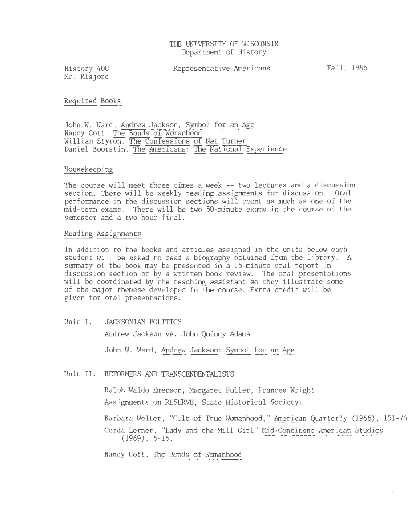History 400 Mr. Risjord

## Required Books

John W. Ward, Andrew Jackson, Symbol for an Age Nancy Cott, The Bonds of Wamanho William Styron, The Confessions of Nat Turner Daniel Boorstin, The Americans: The National Experience

## Housekeeping

The course will meet three times a week -- two lectures and a discussion section. There will be weekly reading assignments for discussion. Oral performance in the discussion sections will count as much as one of the mid-term exams. There will be two 50-minute exams in the course of the semester and a two-hour final.

## Reading Assignments

In addition to the books and articles assigned in the units below each student will be asked to read a biography obtained from the library. A summary of the book may be presented in a 15-minute oral report in discussion section or by a written book review. The oral presentations will be coordinated by the teaching assistant so they illustrate some of the major themese developed in the course. Extra credit will be given for oral presentations.

Unit I. JACKSONIAN POLITICS

Andrew Jackson vs. John Quincy Adams

John W. Ward, Andrew Jackson: Symbol for an Age

Unit II. REFORMERS AND TRANSCENDENTALISTS

Ralph Waldo Emerson, Margaret Fuller, Frances Wright Assignments on RESERVE, State Historical Society:

Barbara Welter, "Cult of True Womanhood," American Quarterly (1966), 151-74 Gerda Lerner, "Lady and the Mill Girl" Mid-Continent American Studies ara Welter, "Cult of True Womanhood," <u>American Quarterly</u><br>a Lerner, "Lady and the Mill Girl" <u>Mid-Continent American</u><br>(1969), 5–15.

Nancy Cott, The Bonds of Womanhood